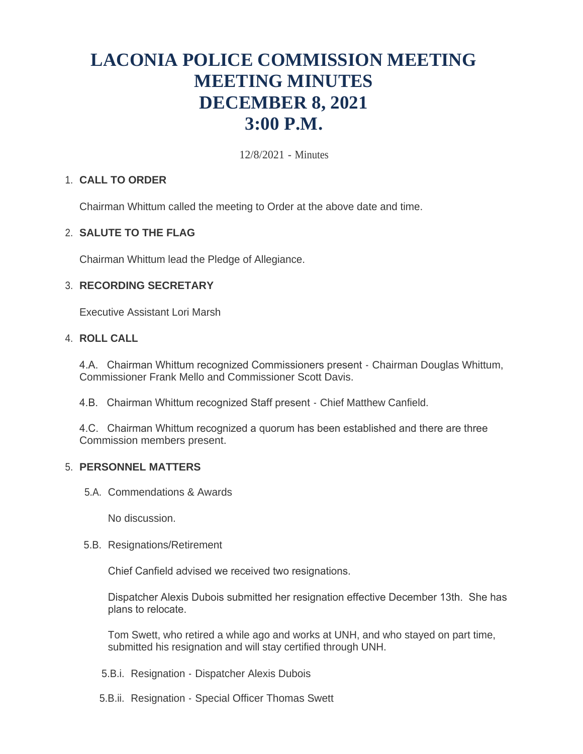# **LACONIA POLICE COMMISSION MEETING MEETING MINUTES DECEMBER 8, 2021 3:00 P.M.**

12/8/2021 - Minutes

# **CALL TO ORDER** 1.

Chairman Whittum called the meeting to Order at the above date and time.

### **SALUTE TO THE FLAG** 2.

Chairman Whittum lead the Pledge of Allegiance.

## **RECORDING SECRETARY** 3.

Executive Assistant Lori Marsh

# **ROLL CALL** 4.

4.A. Chairman Whittum recognized Commissioners present - Chairman Douglas Whittum, Commissioner Frank Mello and Commissioner Scott Davis.

4.B. Chairman Whittum recognized Staff present - Chief Matthew Canfield.

4.C. Chairman Whittum recognized a quorum has been established and there are three Commission members present.

# **PERSONNEL MATTERS** 5.

5.A. Commendations & Awards

No discussion.

5.B. Resignations/Retirement

Chief Canfield advised we received two resignations.

Dispatcher Alexis Dubois submitted her resignation effective December 13th. She has plans to relocate.

Tom Swett, who retired a while ago and works at UNH, and who stayed on part time, submitted his resignation and will stay certified through UNH.

- 5.B.i. Resignation Dispatcher Alexis Dubois
- 5.B.ii. Resignation Special Officer Thomas Swett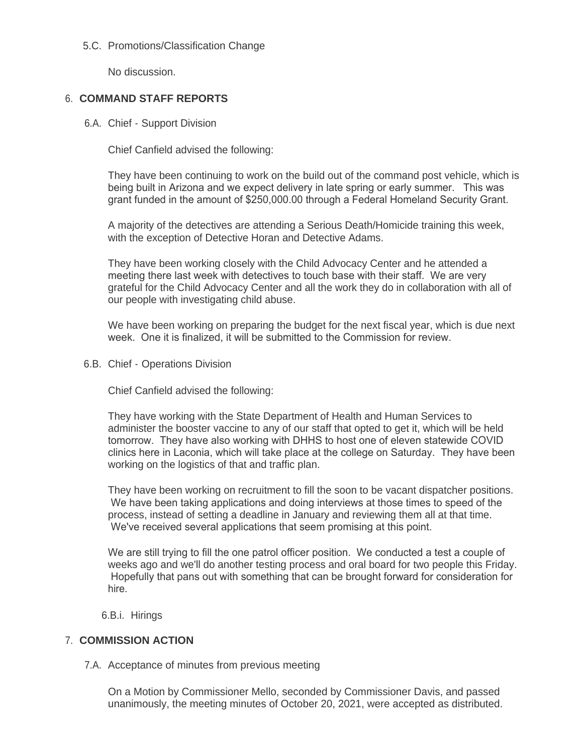# 5.C. Promotions/Classification Change

No discussion.

# **COMMAND STAFF REPORTS** 6.

6.A. Chief - Support Division

Chief Canfield advised the following:

They have been continuing to work on the build out of the command post vehicle, which is being built in Arizona and we expect delivery in late spring or early summer. This was grant funded in the amount of \$250,000.00 through a Federal Homeland Security Grant.

A majority of the detectives are attending a Serious Death/Homicide training this week, with the exception of Detective Horan and Detective Adams.

They have been working closely with the Child Advocacy Center and he attended a meeting there last week with detectives to touch base with their staff. We are very grateful for the Child Advocacy Center and all the work they do in collaboration with all of our people with investigating child abuse.

We have been working on preparing the budget for the next fiscal year, which is due next week. One it is finalized, it will be submitted to the Commission for review.

6.B. Chief - Operations Division

Chief Canfield advised the following:

They have working with the State Department of Health and Human Services to administer the booster vaccine to any of our staff that opted to get it, which will be held tomorrow. They have also working with DHHS to host one of eleven statewide COVID clinics here in Laconia, which will take place at the college on Saturday. They have been working on the logistics of that and traffic plan.

They have been working on recruitment to fill the soon to be vacant dispatcher positions. We have been taking applications and doing interviews at those times to speed of the process, instead of setting a deadline in January and reviewing them all at that time. We've received several applications that seem promising at this point.

We are still trying to fill the one patrol officer position. We conducted a test a couple of weeks ago and we'll do another testing process and oral board for two people this Friday. Hopefully that pans out with something that can be brought forward for consideration for hire.

6.B.i. Hirings

### **COMMISSION ACTION** 7.

7.A. Acceptance of minutes from previous meeting

On a Motion by Commissioner Mello, seconded by Commissioner Davis, and passed unanimously, the meeting minutes of October 20, 2021, were accepted as distributed.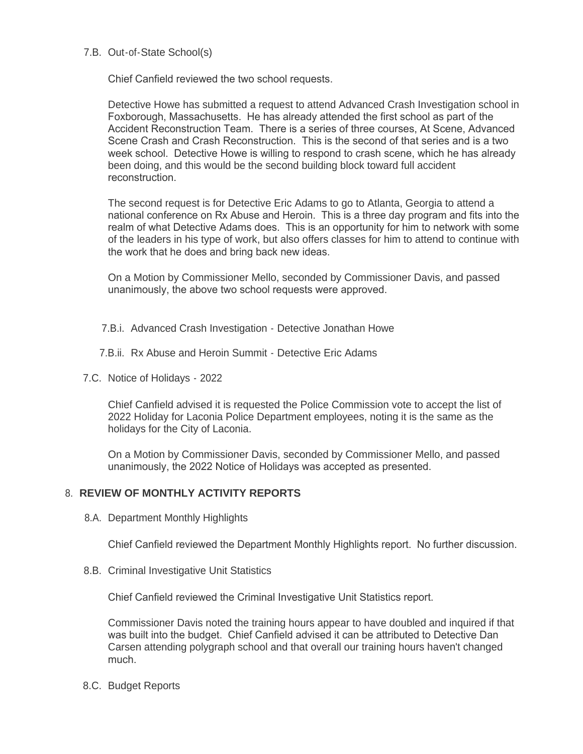#### 7.B. Out-of-State School(s)

Chief Canfield reviewed the two school requests.

Detective Howe has submitted a request to attend Advanced Crash Investigation school in Foxborough, Massachusetts. He has already attended the first school as part of the Accident Reconstruction Team. There is a series of three courses, At Scene, Advanced Scene Crash and Crash Reconstruction. This is the second of that series and is a two week school. Detective Howe is willing to respond to crash scene, which he has already been doing, and this would be the second building block toward full accident reconstruction.

The second request is for Detective Eric Adams to go to Atlanta, Georgia to attend a national conference on Rx Abuse and Heroin. This is a three day program and fits into the realm of what Detective Adams does. This is an opportunity for him to network with some of the leaders in his type of work, but also offers classes for him to attend to continue with the work that he does and bring back new ideas.

On a Motion by Commissioner Mello, seconded by Commissioner Davis, and passed unanimously, the above two school requests were approved.

- 7.B.i. Advanced Crash Investigation Detective Jonathan Howe
- 7.B.ii. Rx Abuse and Heroin Summit Detective Eric Adams
- 7.C. Notice of Holidays 2022

Chief Canfield advised it is requested the Police Commission vote to accept the list of 2022 Holiday for Laconia Police Department employees, noting it is the same as the holidays for the City of Laconia.

On a Motion by Commissioner Davis, seconded by Commissioner Mello, and passed unanimously, the 2022 Notice of Holidays was accepted as presented.

### **REVIEW OF MONTHLY ACTIVITY REPORTS** 8.

8.A. Department Monthly Highlights

Chief Canfield reviewed the Department Monthly Highlights report. No further discussion.

8.B. Criminal Investigative Unit Statistics

Chief Canfield reviewed the Criminal Investigative Unit Statistics report.

Commissioner Davis noted the training hours appear to have doubled and inquired if that was built into the budget. Chief Canfield advised it can be attributed to Detective Dan Carsen attending polygraph school and that overall our training hours haven't changed much.

8.C. Budget Reports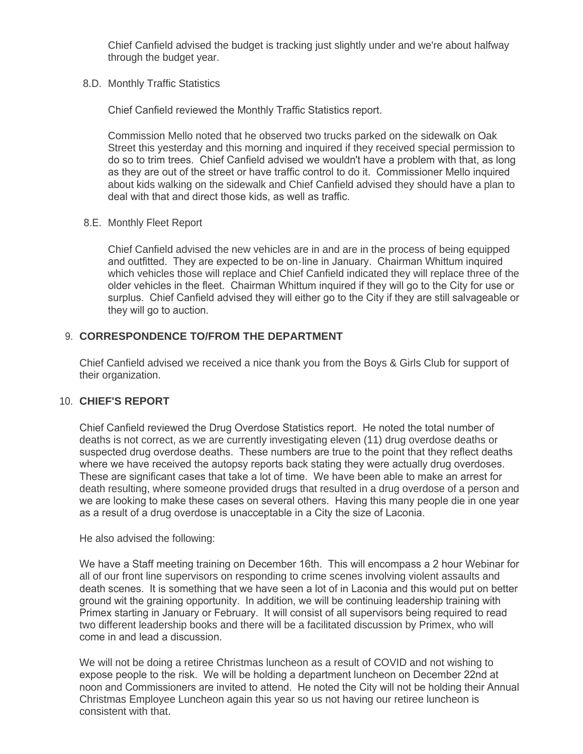Chief Canfield advised the budget is tracking just slightly under and we're about halfway through the budget year.

8.D. Monthly Traffic Statistics

Chief Canfield reviewed the Monthly Traffic Statistics report.

Commission Mello noted that he observed two trucks parked on the sidewalk on Oak Street this yesterday and this morning and inquired if they received special permission to do so to trim trees. Chief Canfield advised we wouldn't have a problem with that, as long as they are out of the street or have traffic control to do it. Commissioner Mello inquired about kids walking on the sidewalk and Chief Canfield advised they should have a plan to deal with that and direct those kids, as well as traffic.

8.E. Monthly Fleet Report

Chief Canfield advised the new vehicles are in and are in the process of being equipped and outfitted. They are expected to be on-line in January. Chairman Whittum inquired which vehicles those will replace and Chief Canfield indicated they will replace three of the older vehicles in the fleet. Chairman Whittum inquired if they will go to the City for use or surplus. Chief Canfield advised they will either go to the City if they are still salvageable or they will go to auction.

# **CORRESPONDENCE TO/FROM THE DEPARTMENT** 9.

Chief Canfield advised we received a nice thank you from the Boys & Girls Club for support of their organization.

# **CHIEF'S REPORT** 10.

Chief Canfield reviewed the Drug Overdose Statistics report. He noted the total number of deaths is not correct, as we are currently investigating eleven (11) drug overdose deaths or suspected drug overdose deaths. These numbers are true to the point that they reflect deaths where we have received the autopsy reports back stating they were actually drug overdoses. These are significant cases that take a lot of time. We have been able to make an arrest for death resulting, where someone provided drugs that resulted in a drug overdose of a person and we are looking to make these cases on several others. Having this many people die in one year as a result of a drug overdose is unacceptable in a City the size of Laconia.

He also advised the following:

We have a Staff meeting training on December 16th. This will encompass a 2 hour Webinar for all of our front line supervisors on responding to crime scenes involving violent assaults and death scenes. It is something that we have seen a lot of in Laconia and this would put on better ground wit the graining opportunity. In addition, we will be continuing leadership training with Primex starting in January or February. It will consist of all supervisors being required to read two different leadership books and there will be a facilitated discussion by Primex, who will come in and lead a discussion.

We will not be doing a retiree Christmas luncheon as a result of COVID and not wishing to expose people to the risk. We will be holding a department luncheon on December 22nd at noon and Commissioners are invited to attend. He noted the City will not be holding their Annual Christmas Employee Luncheon again this year so us not having our retiree luncheon is consistent with that.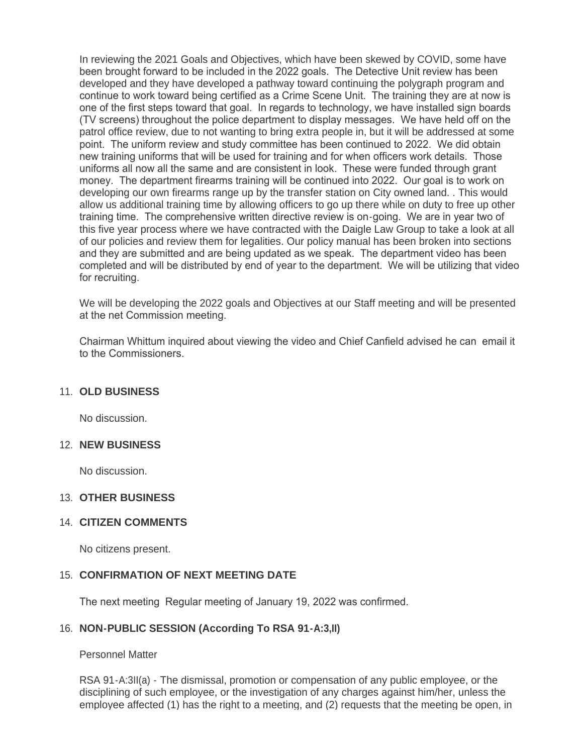In reviewing the 2021 Goals and Objectives, which have been skewed by COVID, some have been brought forward to be included in the 2022 goals. The Detective Unit review has been developed and they have developed a pathway toward continuing the polygraph program and continue to work toward being certified as a Crime Scene Unit. The training they are at now is one of the first steps toward that goal. In regards to technology, we have installed sign boards (TV screens) throughout the police department to display messages. We have held off on the patrol office review, due to not wanting to bring extra people in, but it will be addressed at some point. The uniform review and study committee has been continued to 2022. We did obtain new training uniforms that will be used for training and for when officers work details. Those uniforms all now all the same and are consistent in look. These were funded through grant money. The department firearms training will be continued into 2022. Our goal is to work on developing our own firearms range up by the transfer station on City owned land. . This would allow us additional training time by allowing officers to go up there while on duty to free up other training time. The comprehensive written directive review is on-going. We are in year two of this five year process where we have contracted with the Daigle Law Group to take a look at all of our policies and review them for legalities. Our policy manual has been broken into sections and they are submitted and are being updated as we speak. The department video has been completed and will be distributed by end of year to the department. We will be utilizing that video for recruiting.

We will be developing the 2022 goals and Objectives at our Staff meeting and will be presented at the net Commission meeting.

Chairman Whittum inquired about viewing the video and Chief Canfield advised he can email it to the Commissioners.

### **OLD BUSINESS** 11.

No discussion.

#### **NEW BUSINESS** 12.

No discussion.

### **OTHER BUSINESS** 13.

### **CITIZEN COMMENTS** 14.

No citizens present.

#### 15. CONFIRMATION OF NEXT MEETING DATE

The next meeting Regular meeting of January 19, 2022 was confirmed.

### 16. **NON-PUBLIC SESSION (According To RSA 91-A:3,II)**

Personnel Matter

RSA 91-A:3II(a) - The dismissal, promotion or compensation of any public employee, or the disciplining of such employee, or the investigation of any charges against him/her, unless the employee affected (1) has the right to a meeting, and (2) requests that the meeting be open, in